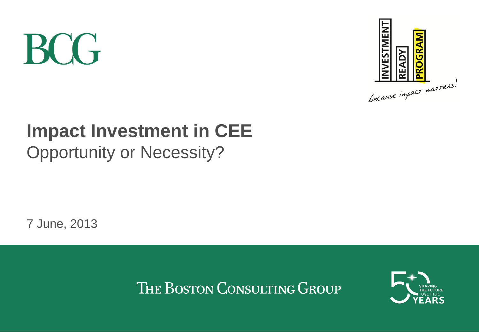# **BCG**



## **Impact Investment in CEE** Opportunity or Necessity?

7 June, 2013

THE BOSTON CONSULTING GROUP

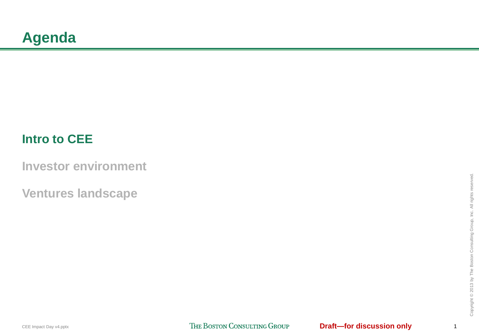## <span id="page-1-0"></span>**Intro to CEE**

**[Investor environment](#page-5-0)**

**[Ventures landscape](#page-9-0)**

1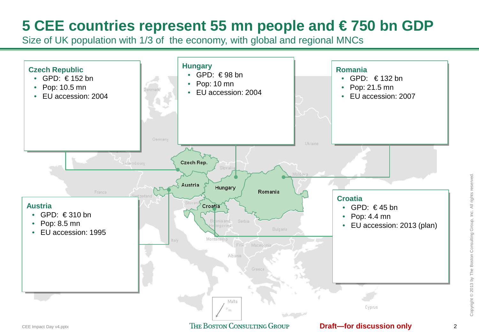## **5 CEE countries represent 55 mn people and € 750 bn GDP**

Size of UK population with 1/3 of the economy, with global and regional MNCs

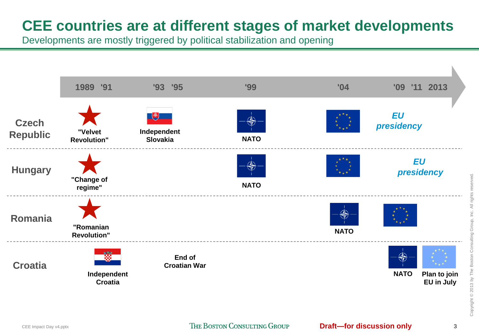## **CEE countries are at different stages of market developments**

Developments are mostly triggered by political stabilization and opening



CEE Impact Day v4.pptx **Day v4.pptx Discussion and V** 3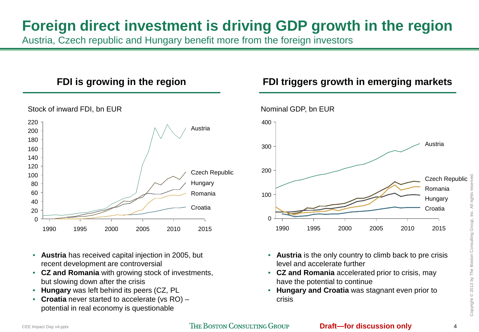## **Foreign direct investment is driving GDP growth in the region**

Austria, Czech republic and Hungary benefit more from the foreign investors



- **Austria** has received capital injection in 2005, but recent development are controversial
- **CZ and Romania** with growing stock of investments, but slowing down after the crisis
- **Hungary** was left behind its peers (CZ, PL
- **Croatia** never started to accelerate (vs RO) potential in real economy is questionable

#### **FDI is growing in the region FDI triggers growth in emerging markets**



- **Austria** is the only country to climb back to pre crisis level and accelerate further
- **CZ and Romania** accelerated prior to crisis, may have the potential to continue
- **Hungary and Croatia** was stagnant even prior to crisis

Copyright © 2013 by The Boston Consulting Group, Inc. All rights reserved. Copyright © 2013 by The Boston Consulting Group, Inc. All rights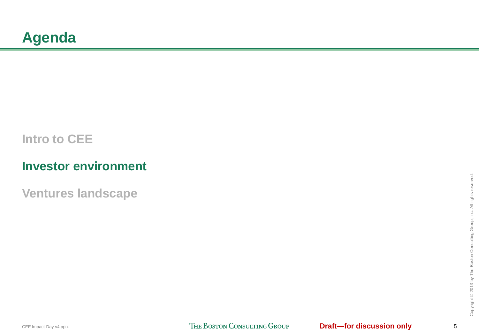## <span id="page-5-0"></span>**[Intro to CEE](#page-1-0)**

## **Investor environment**

**[Ventures landscape](#page-9-0)**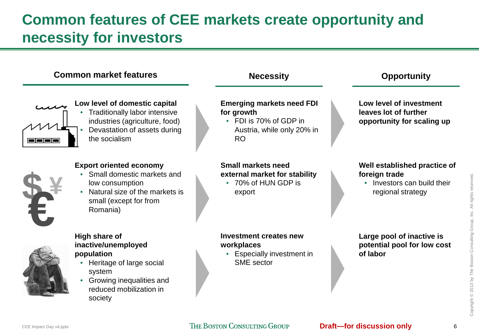## **Common features of CEE markets create opportunity and necessity for investors**



#### CEE Impact Day v4.pptx **Day v4.pptx Discussion and Versus Section** only the BOSTON CONSULTING GROUP **Draft—for discussion only** 6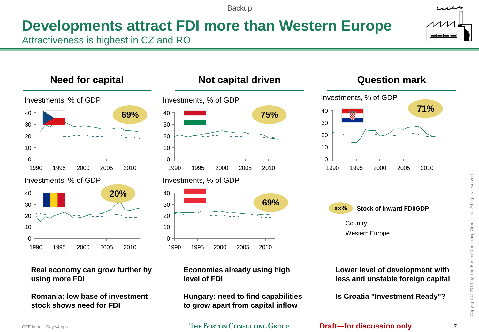**Backup** 

## **Developments attract FDI more than Western Europe**

Attractiveness is highest in CZ and RO



**Real economy can grow further by using more FDI**

**Romania: low base of investment stock shows need for FDI**

**Economies already using high level of FDI**

**Hungary: need to find capabilities to grow apart from capital inflow**

CEE Impact Day v4.pptx **Determination COLL 2006 THE BOSTON CONSULTING GROUP <b>Draft—for discussion only** 7





#### **Lower level of development with less and unstable foreign capital**

**Is Croatia "Investment Ready"?**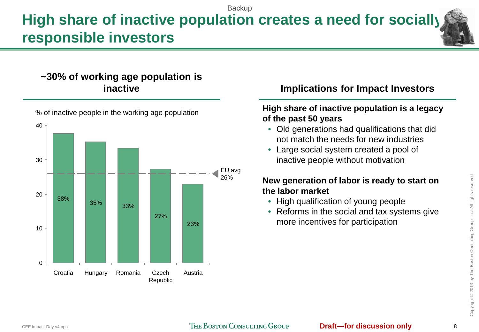### **High share of inactive population creates a need for socially responsible investors Backup**

# **~30% of working age population is**



% of inactive people in the working age population

#### **inactive Implications for Impact Investors**

#### **High share of inactive population is a legacy of the past 50 years**

- Old generations had qualifications that did not match the needs for new industries
- Large social system created a pool of inactive people without motivation

#### **New generation of labor is ready to start on the labor market**

- High qualification of young people
- Reforms in the social and tax systems give more incentives for participation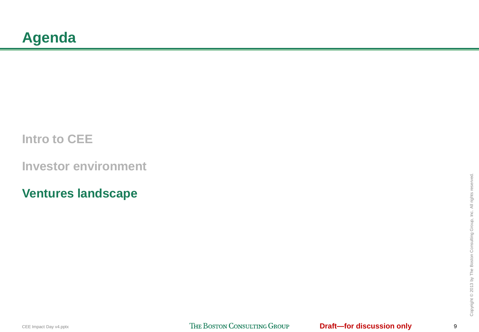## <span id="page-9-0"></span>**[Intro to CEE](#page-1-0)**

**[Investor environment](#page-5-0)**

**Ventures landscape**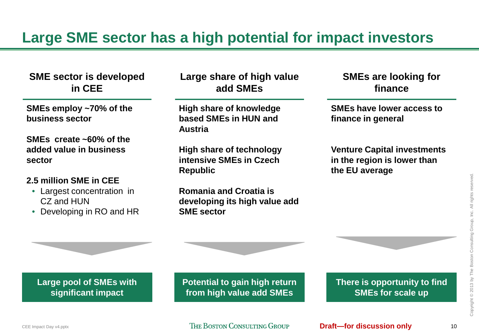## **Large SME sector has a high potential for impact investors**

#### **SME sector is developed in CEE**

**SMEs employ ~70% of the business sector**

**SMEs create ~60% of the added value in business sector**

#### **2.5 million SME in CEE**

- Largest concentration in CZ and HUN
- Developing in RO and HR

**Large share of high value add SMEs**

**High share of knowledge based SMEs in HUN and Austria**

**High share of technology intensive SMEs in Czech Republic**

**Romania and Croatia is developing its high value add SME sector**

**SMEs are looking for finance**

**SMEs have lower access to finance in general**

**Venture Capital investments in the region is lower than the EU average**

**Large pool of SMEs with significant impact**

**Potential to gain high return from high value add SMEs**

**There is opportunity to find SMEs for scale up**

CEE Impact Day v4.pptx **Details and Secure 2018 CEE Impact Day v4.pptx <b>Draft—for discussion only** to the secure to the discussion only to the discussion only to the discussion only to the discussion only to the discussion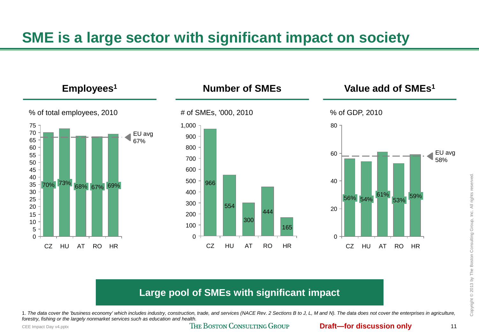## **SME is a large sector with significant impact on society**



#### **Large pool of SMEs with significant impact**

1. *The data cover the 'business economy' which includes industry, construction, trade, and services (NACE Rev. 2 Sections B to J, L, M and N). The data does not cover the enterprises in agriculture, forestry, fishing or the largely nonmarket services such as education and health.*

CEE Impact Day v4.pptx **Day v4.pptx Draft—for discussion only** 11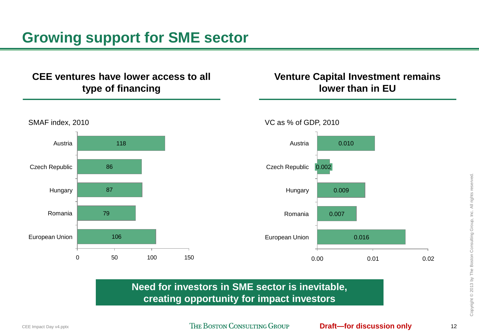## **Growing support for SME sector**

#### **CEE ventures have lower access to all type of financing**

#### **Venture Capital Investment remains lower than in EU**



#### **Need for investors in SME sector is inevitable, creating opportunity for impact investors**

CEE Impact Day v4.pptx **Detail Compact Day v4.pptx Draft—for discussion only** 12